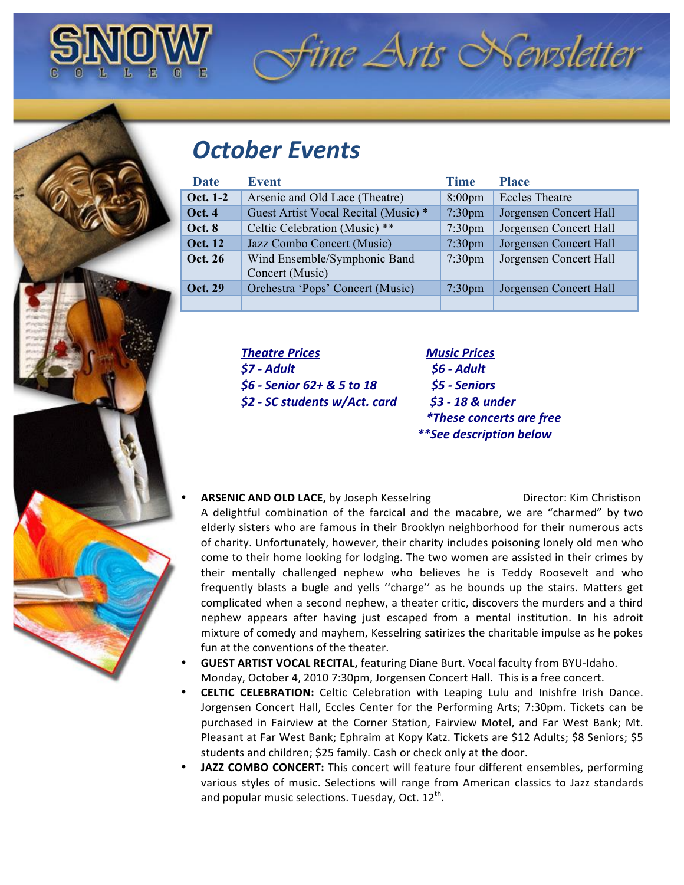

## **October Events**

| <b>Date</b>    | <b>Event</b>                                    | <b>Time</b>        | <b>Place</b>           |
|----------------|-------------------------------------------------|--------------------|------------------------|
| Oct. 1-2       | Arsenic and Old Lace (Theatre)                  | $8:00 \text{pm}$   | <b>Eccles Theatre</b>  |
| <b>Oct. 4</b>  | Guest Artist Vocal Recital (Music) *            | 7:30 <sub>pm</sub> | Jorgensen Concert Hall |
| Oct. 8         | Celtic Celebration (Music) **                   | 7:30 <sub>pm</sub> | Jorgensen Concert Hall |
| <b>Oct. 12</b> | Jazz Combo Concert (Music)                      | 7:30 <sub>pm</sub> | Jorgensen Concert Hall |
| Oct. 26        | Wind Ensemble/Symphonic Band<br>Concert (Music) | 7:30 <sub>pm</sub> | Jorgensen Concert Hall |
| <b>Oct. 29</b> | Orchestra 'Pops' Concert (Music)                | 7:30 <sub>pm</sub> | Jorgensen Concert Hall |
|                |                                                 |                    |                        |

*Theatre(Prices!!!!!!!!!!!!!!!!!!!!!!!!!!!!!!!!!!!Music(Prices \$7(6 Adult(((((((((((((((((((((((((((((((((((((((((((((\$6(6 Adult \$6(6 Senior(62+(&(5(to(18((((((((((((((((((\$5(6 Seniors \$2(6 SC(students(w/Act.(card(((((((((((\$3(6(18(&(under*

*((((((((\*These(concerts(are(free (((((\*\*See(description(below*

fine Arts Newsletter

- **ARSENIC AND OLD LACE, by Joseph Kesselring The Contract Director: Kim Christison** A delightful combination of the farcical and the macabre, we are "charmed" by two elderly sisters who are famous in their Brooklyn neighborhood for their numerous acts of charity. Unfortunately, however, their charity includes poisoning lonely old men who come to their home looking for lodging. The two women are assisted in their crimes by their mentally challenged nephew who believes he is Teddy Roosevelt and who frequently blasts a bugle and yells "charge" as he bounds up the stairs. Matters get complicated when a second nephew, a theater critic, discovers the murders and a third nephew appears after having just escaped from a mental institution. In his adroit mixture of comedy and mayhem, Kesselring satirizes the charitable impulse as he pokes fun at the conventions of the theater.
- **GUEST ARTIST VOCAL RECITAL, featuring Diane Burt. Vocal faculty from BYU-Idaho.** Monday, October 4, 2010 7:30pm, Jorgensen Concert Hall. This is a free concert.
- **CELTIC CELEBRATION:** Celtic Celebration with Leaping Lulu and Inishfre Irish Dance. Jorgensen Concert Hall, Eccles Center for the Performing Arts; 7:30pm. Tickets can be purchased in Fairview at the Corner Station, Fairview Motel, and Far West Bank; Mt. Pleasant at Far West Bank; Ephraim at Kopy Katz. Tickets are \$12 Adults; \$8 Seniors; \$5 students and children; \$25 family. Cash or check only at the door.
- JAZZ COMBO CONCERT: This concert will feature four different ensembles, performing various styles of music. Selections will range from American classics to Jazz standards and popular music selections. Tuesday, Oct.  $12^{th}$ .